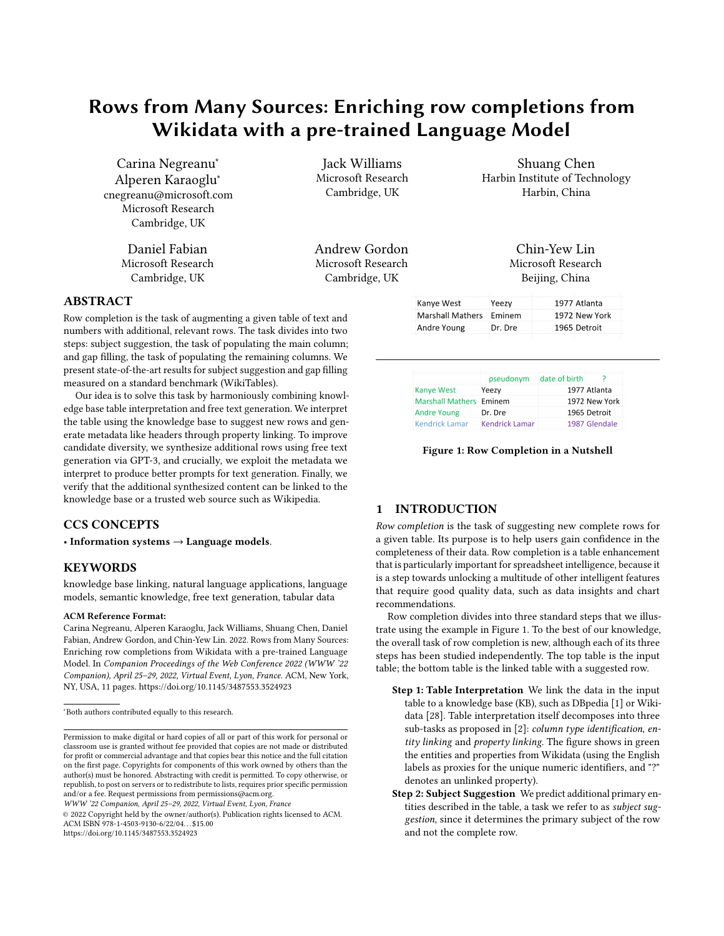# Rows from Many Sources: Enriching row completions from Wikidata with a pre-trained Language Model

Carina Negreanu<sup>∗</sup> Alperen Karaoglu<sup>∗</sup> cnegreanu@microsoft.com Microsoft Research Cambridge, UK

> Daniel Fabian Microsoft Research Cambridge, UK

Jack Williams Microsoft Research Cambridge, UK

Andrew Gordon Microsoft Research Cambridge, UK

Shuang Chen Harbin Institute of Technology Harbin, China

> Chin-Yew Lin Microsoft Research Beijing, China

> > 1977 Atlanta

### ABSTRACT

Row completion is the task of augmenting a given table of text and numbers with additional, relevant rows. The task divides into two steps: subject suggestion, the task of populating the main column; and gap filling, the task of populating the remaining columns. We present state-of-the-art results for subject suggestion and gap filling measured on a standard benchmark (WikiTables).

Our idea is to solve this task by harmoniously combining knowledge base table interpretation and free text generation. We interpret the table using the knowledge base to suggest new rows and generate metadata like headers through property linking. To improve candidate diversity, we synthesize additional rows using free text generation via GPT-3, and crucially, we exploit the metadata we interpret to produce better prompts for text generation. Finally, we verify that the additional synthesized content can be linked to the knowledge base or a trusted web source such as Wikipedia.

### CCS CONCEPTS

• Information systems  $\rightarrow$  Language models.

### **KEYWORDS**

knowledge base linking, natural language applications, language models, semantic knowledge, free text generation, tabular data

### ACM Reference Format:

Carina Negreanu, Alperen Karaoglu, Jack Williams, Shuang Chen, Daniel Fabian, Andrew Gordon, and Chin-Yew Lin. 2022. Rows from Many Sources: Enriching row completions from Wikidata with a pre-trained Language Model. In Companion Proceedings of the Web Conference 2022 (WWW '22 Companion), April 25–29, 2022, Virtual Event, Lyon, France. ACM, New York, NY, USA, [11](#page-10-0) pages.<https://doi.org/10.1145/3487553.3524923>

WWW '22 Companion, April 25–29, 2022, Virtual Event, Lyon, France

© 2022 Copyright held by the owner/author(s). Publication rights licensed to ACM. ACM ISBN 978-1-4503-9130-6/22/04. . . \$15.00 <https://doi.org/10.1145/3487553.3524923>

**Marshall Mathers** Eminem 1972 New York **Andre Young** Dr. Dre 1965 Detroit

Yeezy

|                                | pseudonym             | date of birth |               |
|--------------------------------|-----------------------|---------------|---------------|
| <b>Kanye West</b>              | Yeezy                 |               | 1977 Atlanta  |
| <b>Marshall Mathers Eminem</b> |                       |               | 1972 New York |
| <b>Andre Young</b>             | Dr. Dre               |               | 1965 Detroit  |
| <b>Kendrick Lamar</b>          | <b>Kendrick Lamar</b> |               | 1987 Glendale |

Figure 1: Row Completion in a Nutshell

### 1 INTRODUCTION

<span id="page-0-0"></span>**Kanye West** 

Row completion is the task of suggesting new complete rows for a given table. Its purpose is to help users gain confidence in the completeness of their data. Row completion is a table enhancement that is particularly important for spreadsheet intelligence, because it is a step towards unlocking a multitude of other intelligent features that require good quality data, such as data insights and chart recommendations.

Row completion divides into three standard steps that we illustrate using the example in Figure [1.](#page-0-0) To the best of our knowledge, the overall task of row completion is new, although each of its three steps has been studied independently. The top table is the input table; the bottom table is the linked table with a suggested row.

- Step 1: Table Interpretation We link the data in the input table to a knowledge base (KB), such as DBpedia [\[1\]](#page-9-0) or Wikidata [\[28\]](#page-9-1). Table interpretation itself decomposes into three sub-tasks as proposed in [\[2\]](#page-9-2): column type identification, entity linking and property linking. The figure shows in green the entities and properties from Wikidata (using the English labels as proxies for the unique numeric identifiers, and "?" denotes an unlinked property).
- Step 2: Subject Suggestion We predict additional primary entities described in the table, a task we refer to as subject suggestion, since it determines the primary subject of the row and not the complete row.

<sup>∗</sup>Both authors contributed equally to this research.

Permission to make digital or hard copies of all or part of this work for personal or classroom use is granted without fee provided that copies are not made or distributed for profit or commercial advantage and that copies bear this notice and the full citation on the first page. Copyrights for components of this work owned by others than the author(s) must be honored. Abstracting with credit is permitted. To copy otherwise, or republish, to post on servers or to redistribute to lists, requires prior specific permission and/or a fee. Request permissions from permissions@acm.org.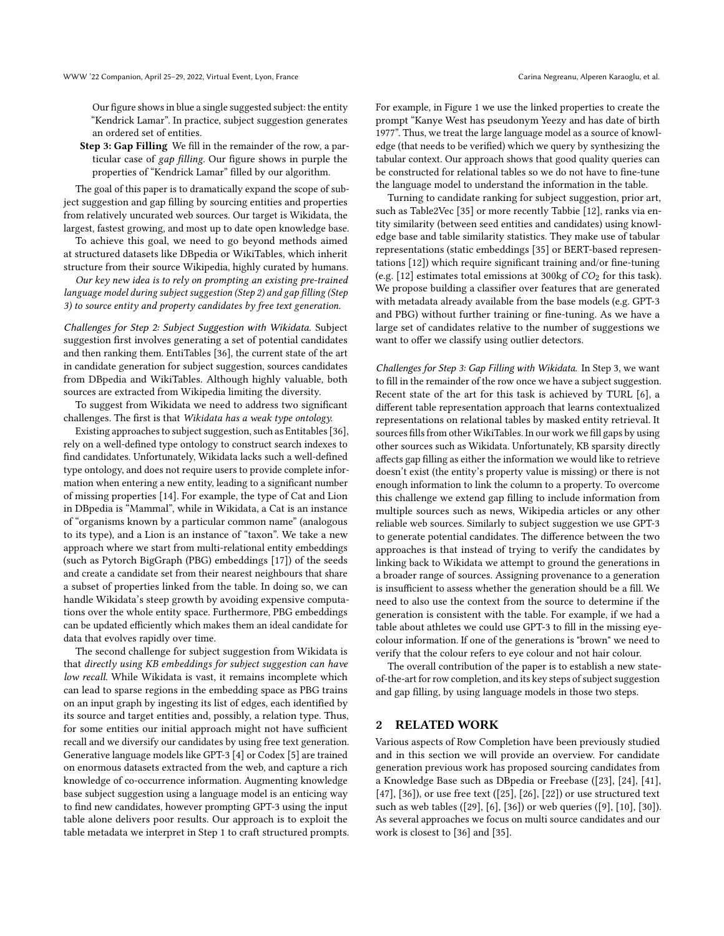Our figure shows in blue a single suggested subject: the entity "Kendrick Lamar". In practice, subject suggestion generates an ordered set of entities.

Step 3: Gap Filling We fill in the remainder of the row, a particular case of gap filling. Our figure shows in purple the properties of "Kendrick Lamar" filled by our algorithm.

The goal of this paper is to dramatically expand the scope of subject suggestion and gap filling by sourcing entities and properties from relatively uncurated web sources. Our target is Wikidata, the largest, fastest growing, and most up to date open knowledge base.

To achieve this goal, we need to go beyond methods aimed at structured datasets like DBpedia or WikiTables, which inherit structure from their source Wikipedia, highly curated by humans.

Our key new idea is to rely on prompting an existing pre-trained language model during subject suggestion (Step 2) and gap filling (Step 3) to source entity and property candidates by free text generation.

Challenges for Step 2: Subject Suggestion with Wikidata. Subject suggestion first involves generating a set of potential candidates and then ranking them. EntiTables [\[36\]](#page-10-1), the current state of the art in candidate generation for subject suggestion, sources candidates from DBpedia and WikiTables. Although highly valuable, both sources are extracted from Wikipedia limiting the diversity.

To suggest from Wikidata we need to address two significant challenges. The first is that Wikidata has a weak type ontology.

Existing approaches to subject suggestion, such as Entitables [\[36\]](#page-10-1), rely on a well-defined type ontology to construct search indexes to find candidates. Unfortunately, Wikidata lacks such a well-defined type ontology, and does not require users to provide complete information when entering a new entity, leading to a significant number of missing properties [\[14\]](#page-9-3). For example, the type of Cat and Lion in DBpedia is "Mammal", while in Wikidata, a Cat is an instance of "organisms known by a particular common name" (analogous to its type), and a Lion is an instance of "taxon". We take a new approach where we start from multi-relational entity embeddings (such as Pytorch BigGraph (PBG) embeddings [\[17\]](#page-9-4)) of the seeds and create a candidate set from their nearest neighbours that share a subset of properties linked from the table. In doing so, we can handle Wikidata's steep growth by avoiding expensive computations over the whole entity space. Furthermore, PBG embeddings can be updated efficiently which makes them an ideal candidate for data that evolves rapidly over time.

The second challenge for subject suggestion from Wikidata is that directly using KB embeddings for subject suggestion can have low recall. While Wikidata is vast, it remains incomplete which can lead to sparse regions in the embedding space as PBG trains on an input graph by ingesting its list of edges, each identified by its source and target entities and, possibly, a relation type. Thus, for some entities our initial approach might not have sufficient recall and we diversify our candidates by using free text generation. Generative language models like GPT-3 [\[4\]](#page-9-5) or Codex [\[5\]](#page-9-6) are trained on enormous datasets extracted from the web, and capture a rich knowledge of co-occurrence information. Augmenting knowledge base subject suggestion using a language model is an enticing way to find new candidates, however prompting GPT-3 using the input table alone delivers poor results. Our approach is to exploit the table metadata we interpret in Step 1 to craft structured prompts.

For example, in Figure [1](#page-0-0) we use the linked properties to create the prompt "Kanye West has pseudonym Yeezy and has date of birth 1977". Thus, we treat the large language model as a source of knowledge (that needs to be verified) which we query by synthesizing the tabular context. Our approach shows that good quality queries can be constructed for relational tables so we do not have to fine-tune the language model to understand the information in the table.

Turning to candidate ranking for subject suggestion, prior art, such as Table2Vec [\[35\]](#page-10-2) or more recently Tabbie [\[12\]](#page-9-7), ranks via entity similarity (between seed entities and candidates) using knowledge base and table similarity statistics. They make use of tabular representations (static embeddings [\[35\]](#page-10-2) or BERT-based representations [\[12\]](#page-9-7)) which require significant training and/or fine-tuning (e.g. [\[12\]](#page-9-7) estimates total emissions at 300kg of  $CO<sub>2</sub>$  for this task). We propose building a classifier over features that are generated with metadata already available from the base models (e.g. GPT-3 and PBG) without further training or fine-tuning. As we have a large set of candidates relative to the number of suggestions we want to offer we classify using outlier detectors.

Challenges for Step 3: Gap Filling with Wikidata. In Step 3, we want to fill in the remainder of the row once we have a subject suggestion. Recent state of the art for this task is achieved by TURL [\[6\]](#page-9-8), a different table representation approach that learns contextualized representations on relational tables by masked entity retrieval. It sources fills from other WikiTables. In our work we fill gaps by using other sources such as Wikidata. Unfortunately, KB sparsity directly affects gap filling as either the information we would like to retrieve doesn't exist (the entity's property value is missing) or there is not enough information to link the column to a property. To overcome this challenge we extend gap filling to include information from multiple sources such as news, Wikipedia articles or any other reliable web sources. Similarly to subject suggestion we use GPT-3 to generate potential candidates. The difference between the two approaches is that instead of trying to verify the candidates by linking back to Wikidata we attempt to ground the generations in a broader range of sources. Assigning provenance to a generation is insufficient to assess whether the generation should be a fill. We need to also use the context from the source to determine if the generation is consistent with the table. For example, if we had a table about athletes we could use GPT-3 to fill in the missing eyecolour information. If one of the generations is "brown" we need to verify that the colour refers to eye colour and not hair colour.

The overall contribution of the paper is to establish a new stateof-the-art for row completion, and its key steps of subject suggestion and gap filling, by using language models in those two steps.

### 2 RELATED WORK

Various aspects of Row Completion have been previously studied and in this section we will provide an overview. For candidate generation previous work has proposed sourcing candidates from a Knowledge Base such as DBpedia or Freebase ([\[23\]](#page-9-9), [\[24\]](#page-9-10), [\[41\]](#page-10-3), [\[47\]](#page-10-4), [\[36\]](#page-10-1)), or use free text ([\[25\]](#page-9-11), [\[26\]](#page-9-12), [\[22\]](#page-9-13)) or use structured text such as web tables ([\[29\]](#page-9-14), [\[6\]](#page-9-8), [\[36\]](#page-10-1)) or web queries ([\[9\]](#page-9-15), [\[10\]](#page-9-16), [\[30\]](#page-9-17)). As several approaches we focus on multi source candidates and our work is closest to [\[36\]](#page-10-1) and [\[35\]](#page-10-2).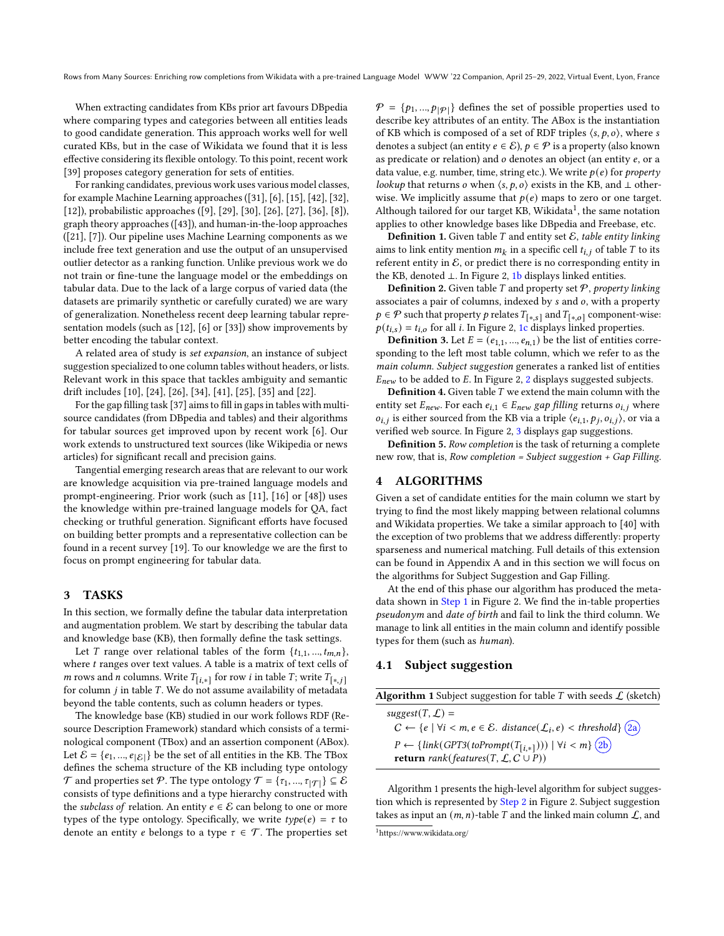When extracting candidates from KBs prior art favours DBpedia where comparing types and categories between all entities leads to good candidate generation. This approach works well for well curated KBs, but in the case of Wikidata we found that it is less effective considering its flexible ontology. To this point, recent work [\[39\]](#page-10-5) proposes category generation for sets of entities.

For ranking candidates, previous work uses various model classes, for example Machine Learning approaches ([\[31\]](#page-10-6), [\[6\]](#page-9-8), [\[15\]](#page-9-18), [\[42\]](#page-10-7), [\[32\]](#page-10-8), [\[12\]](#page-9-7)), probabilistic approaches ([\[9\]](#page-9-15), [\[29\]](#page-9-14), [\[30\]](#page-9-17), [\[26\]](#page-9-12), [\[27\]](#page-9-19), [\[36\]](#page-10-1), [\[8\]](#page-9-20)), graph theory approaches ([\[43\]](#page-10-9)), and human-in-the-loop approaches ([\[21\]](#page-9-21), [\[7\]](#page-9-22)). Our pipeline uses Machine Learning components as we include free text generation and use the output of an unsupervised outlier detector as a ranking function. Unlike previous work we do not train or fine-tune the language model or the embeddings on tabular data. Due to the lack of a large corpus of varied data (the datasets are primarily synthetic or carefully curated) we are wary of generalization. Nonetheless recent deep learning tabular representation models (such as [\[12\]](#page-9-7), [\[6\]](#page-9-8) or [\[33\]](#page-10-10)) show improvements by better encoding the tabular context.

A related area of study is set expansion, an instance of subject suggestion specialized to one column tables without headers, or lists. Relevant work in this space that tackles ambiguity and semantic drift includes [\[10\]](#page-9-16), [\[24\]](#page-9-10), [\[26\]](#page-9-12), [\[34\]](#page-10-11), [\[41\]](#page-10-3), [\[25\]](#page-9-11), [\[35\]](#page-10-2) and [\[22\]](#page-9-13).

For the gap filling task [\[37\]](#page-10-12) aims to fill in gaps in tables with multisource candidates (from DBpedia and tables) and their algorithms for tabular sources get improved upon by recent work [\[6\]](#page-9-8). Our work extends to unstructured text sources (like Wikipedia or news articles) for significant recall and precision gains.

Tangential emerging research areas that are relevant to our work are knowledge acquisition via pre-trained language models and prompt-engineering. Prior work (such as [\[11\]](#page-9-23), [\[16\]](#page-9-24) or [\[48\]](#page-10-13)) uses the knowledge within pre-trained language models for QA, fact checking or truthful generation. Significant efforts have focused on building better prompts and a representative collection can be found in a recent survey [\[19\]](#page-9-25). To our knowledge we are the first to focus on prompt engineering for tabular data.

### 3 TASKS

In this section, we formally define the tabular data interpretation and augmentation problem. We start by describing the tabular data and knowledge base (KB), then formally define the task settings.

Let T range over relational tables of the form  $\{t_{1,1},..., t_{m,n}\}$ , where  $t$  ranges over text values. A table is a matrix of text cells of *m* rows and *n* columns. Write  $T_{[i,*]}$  for row *i* in table  $T$ ; write  $T_{[*,j]}$ for column  $j$  in table  $T$ . We do not assume availability of metadata beyond the table contents, such as column headers or types.

The knowledge base (KB) studied in our work follows RDF (Resource Description Framework) standard which consists of a terminological component (TBox) and an assertion component (ABox). Let  $\mathcal{E} = \{e_1, ..., e_{|\mathcal{E}|}\}$  be the set of all entities in the KB. The TBox defines the schema structure of the KB including type ontology  $\mathcal T$  and properties set  $\mathcal P$ . The type ontology  $\mathcal T = \{ \tau_1, ..., \tau_{|\mathcal T|} \} \subseteq \mathcal E$ consists of type definitions and a type hierarchy constructed with the subclass of relation. An entity  $e \in \mathcal{E}$  can belong to one or more types of the type ontology. Specifically, we write  $type(e) = \tau$  to denote an entity *e* belongs to a type  $\tau \in \mathcal{T}$ . The properties set

 $P = \{p_1, ..., p_{|\mathcal{P}|}\}\$  defines the set of possible properties used to describe key attributes of an entity. The ABox is the instantiation of KB which is composed of a set of RDF triples  $\langle s, p, o \rangle$ , where s denotes a subject (an entity  $e \in \mathcal{E}$ ),  $p \in \mathcal{P}$  is a property (also known as predicate or relation) and  $o$  denotes an object (an entity  $e$ , or a data value, e.g. number, time, string etc.). We write  $p(e)$  for property lookup that returns  $o$  when  $\langle s, p, o \rangle$  exists in the KB, and  $\bot$  otherwise. We implicitly assume that  $p(e)$  maps to zero or one target. Although tailored for our target KB. Wikidata<sup>[1](#page-2-0)</sup>, the same notation applies to other knowledge bases like DBpedia and Freebase, etc.

**Definition 1.** Given table  $T$  and entity set  $\mathcal{E}$ , table entity linking aims to link entity mention  $m_k$  in a specific cell  $t_{i,j}$  of table T to its referent entity in  $\mathcal{E}$ , or predict there is no corresponding entity in the KB, denoted ⊥. In Figure [2,](#page-3-0) 1b displays linked entities.

**Definition 2.** Given table  $T$  and property set  $P$ , property linking associates a pair of columns, indexed by  $s$  and  $o$ , with a property  $p \in \mathcal{P}$  such that property  $p$  relates  $T_{[*, s]}$  and  $T_{[*, o]}$  component-wise:  $p(t_{i,s}) = t_{i,o}$  for all *i*. In Figure [2,](#page-3-0) 1c displays linked properties.

**Definition 3.** Let  $E = (e_{1,1}, ..., e_{n,1})$  be the list of entities corresponding to the left most table column, which we refer to as the main column. Subject suggestion generates a ranked list of entities  $E_{new}$  to be added to E. In Figure [2,](#page-3-0) 2 displays suggested subjects.

**Definition 4.** Given table  $T$  we extend the main column with the entity set  $E_{new}$ . For each  $e_{i,1} \in E_{new}$  gap filling returns  $o_{i,j}$  where  $o_{i,j}$  is either sourced from the KB via a triple  $\langle e_{i,1}, p_i, o_{i,j} \rangle$ , or via a verified web source. In Figure [2,](#page-3-0) 3 displays gap suggestions.

Definition 5. Row completion is the task of returning a complete new row, that is, Row completion = Subject suggestion + Gap Filling.

### 4 ALGORITHMS

Given a set of candidate entities for the main column we start by trying to find the most likely mapping between relational columns and Wikidata properties. We take a similar approach to [\[40\]](#page-10-14) with the exception of two problems that we address differently: property sparseness and numerical matching. Full details of this extension can be found in Appendix A and in this section we will focus on the algorithms for Subject Suggestion and Gap Filling.

At the end of this phase our algorithm has produced the metadata shown in Step 1 in Figure [2.](#page-3-0) We find the in-table properties pseudonym and date of birth and fail to link the third column. We manage to link all entities in the main column and identify possible types for them (such as human).

### 4.1 Subject suggestion

<span id="page-2-1"></span>

| <b>Algorithm 1</b> Subject suggestion for table T with seeds $\mathcal{L}$ (sketch)                         |
|-------------------------------------------------------------------------------------------------------------|
| $suggest(T, \mathcal{L}) =$                                                                                 |
| $C \leftarrow \{e \mid \forall i < m, e \in \mathcal{E}.\$ distance( $\mathcal{L}_i, e$ ) < threshold} (2a) |
| $P \leftarrow \{link(GPT3(toPrompt(T_{[i,*]}))) \mid \forall i < m\}$ (2b)                                  |
| <b>return</b> rank(features(T, $\mathcal{L}, C \cup P$ ))                                                   |

Algorithm [1](#page-2-1) presents the high-level algorithm for subject sugges-tion which is represented by Step 2 in Figure [2.](#page-3-0) Subject suggestion takes as input an  $(m, n)$ -table T and the linked main column  $\mathcal{L}$ , and

<span id="page-2-0"></span><sup>1</sup>https://www.wikidata.org/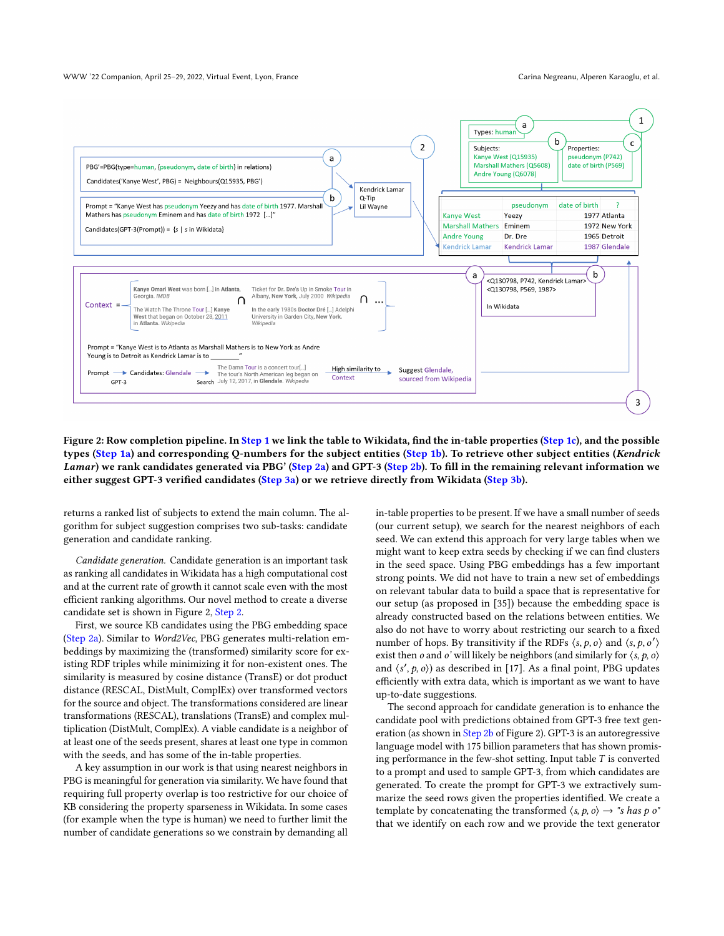#### WWW '22 Companion, April 25–29, 2022, Virtual Event, Lyon, France Carina Negreanu, Alperen Karaoglu, et al.

<span id="page-3-0"></span>

Figure 2: Row completion pipeline. In Step 1 we link the table to Wikidata, find the in-table properties (Step 1c), and the possible types (Step 1a) and corresponding Q-numbers for the subject entities (Step 1b). To retrieve other subject entities (Kendrick Lamar) we rank candidates generated via PBG' (Step 2a) and GPT-3 (Step 2b). To fill in the remaining relevant information we either suggest GPT-3 verified candidates (Step 3a) or we retrieve directly from Wikidata (Step 3b).

returns a ranked list of subjects to extend the main column. The algorithm for subject suggestion comprises two sub-tasks: candidate generation and candidate ranking.

Candidate generation. Candidate generation is an important task as ranking all candidates in Wikidata has a high computational cost and at the current rate of growth it cannot scale even with the most efficient ranking algorithms. Our novel method to create a diverse candidate set is shown in Figure [2,](#page-3-0) Step 2.

First, we source KB candidates using the PBG embedding space (Step 2a). Similar to Word2Vec, PBG generates multi-relation embeddings by maximizing the (transformed) similarity score for existing RDF triples while minimizing it for non-existent ones. The similarity is measured by cosine distance (TransE) or dot product distance (RESCAL, DistMult, ComplEx) over transformed vectors for the source and object. The transformations considered are linear transformations (RESCAL), translations (TransE) and complex multiplication (DistMult, ComplEx). A viable candidate is a neighbor of at least one of the seeds present, shares at least one type in common with the seeds, and has some of the in-table properties.

A key assumption in our work is that using nearest neighbors in PBG is meaningful for generation via similarity. We have found that requiring full property overlap is too restrictive for our choice of KB considering the property sparseness in Wikidata. In some cases (for example when the type is human) we need to further limit the number of candidate generations so we constrain by demanding all

in-table properties to be present. If we have a small number of seeds (our current setup), we search for the nearest neighbors of each seed. We can extend this approach for very large tables when we might want to keep extra seeds by checking if we can find clusters in the seed space. Using PBG embeddings has a few important strong points. We did not have to train a new set of embeddings on relevant tabular data to build a space that is representative for our setup (as proposed in [\[35\]](#page-10-2)) because the embedding space is already constructed based on the relations between entities. We also do not have to worry about restricting our search to a fixed number of hops. By transitivity if the RDFs  $\langle s, p, o \rangle$  and  $\langle s, p, o' \rangle$ exist then *o* and *o*' will likely be neighbors (and similarly for  $\langle s, p, o \rangle$ and  $\langle s', p, o \rangle$  as described in [\[17\]](#page-9-4). As a final point, PBG updates efficiently with extra data, which is important as we want to have up-to-date suggestions.

The second approach for candidate generation is to enhance the candidate pool with predictions obtained from GPT-3 free text gen-eration (as shown in Step 2b of Figure [2\)](#page-3-0). GPT-3 is an autoregressive language model with 175 billion parameters that has shown promising performance in the few-shot setting. Input table  $T$  is converted to a prompt and used to sample GPT-3, from which candidates are generated. To create the prompt for GPT-3 we extractively summarize the seed rows given the properties identified. We create a template by concatenating the transformed  $\langle s, p, o \rangle \rightarrow$  "s has p o" that we identify on each row and we provide the text generator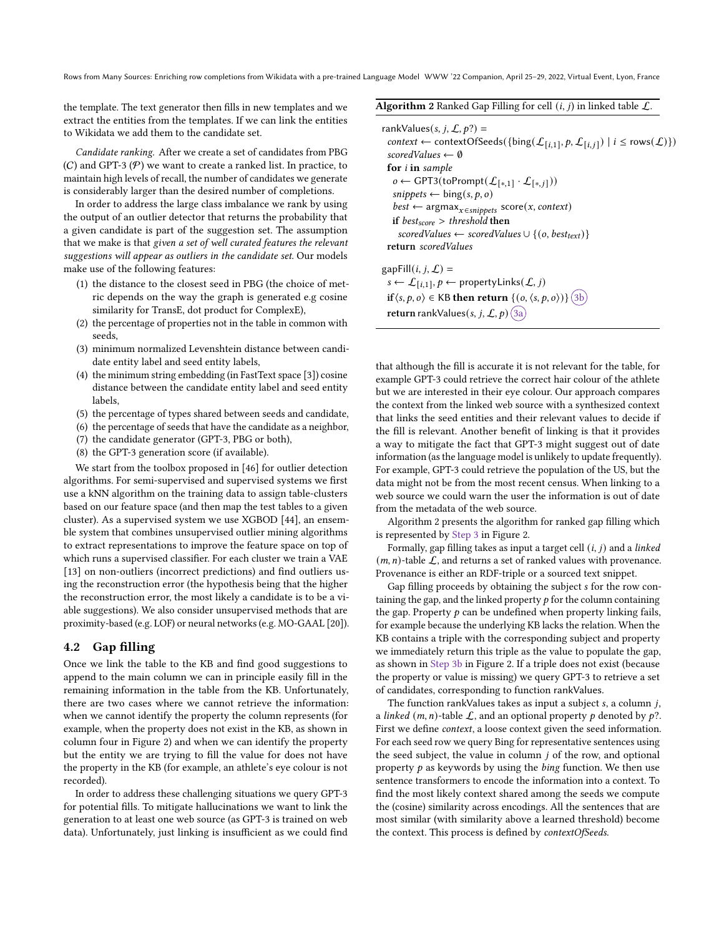Rows from Many Sources: Enriching row completions from Wikidata with a pre-trained Language Model WWW '22 Companion, April 25–29, 2022, Virtual Event, Lyon, France

the template. The text generator then fills in new templates and we extract the entities from the templates. If we can link the entities to Wikidata we add them to the candidate set.

Candidate ranking. After we create a set of candidates from PBG  $(C)$  and GPT-3  $(P)$  we want to create a ranked list. In practice, to maintain high levels of recall, the number of candidates we generate is considerably larger than the desired number of completions.

In order to address the large class imbalance we rank by using the output of an outlier detector that returns the probability that a given candidate is part of the suggestion set. The assumption that we make is that given a set of well curated features the relevant suggestions will appear as outliers in the candidate set. Our models make use of the following features:

- (1) the distance to the closest seed in PBG (the choice of metric depends on the way the graph is generated e.g cosine similarity for TransE, dot product for ComplexE),
- (2) the percentage of properties not in the table in common with seeds,
- (3) minimum normalized Levenshtein distance between candidate entity label and seed entity labels,
- (4) the minimum string embedding (in FastText space [\[3\]](#page-9-26)) cosine distance between the candidate entity label and seed entity labels,
- (5) the percentage of types shared between seeds and candidate,
- (6) the percentage of seeds that have the candidate as a neighbor,
- (7) the candidate generator (GPT-3, PBG or both),
- (8) the GPT-3 generation score (if available).

We start from the toolbox proposed in [\[46\]](#page-10-15) for outlier detection algorithms. For semi-supervised and supervised systems we first use a kNN algorithm on the training data to assign table-clusters based on our feature space (and then map the test tables to a given cluster). As a supervised system we use XGBOD [\[44\]](#page-10-16), an ensemble system that combines unsupervised outlier mining algorithms to extract representations to improve the feature space on top of which runs a supervised classifier. For each cluster we train a VAE [\[13\]](#page-9-27) on non-outliers (incorrect predictions) and find outliers using the reconstruction error (the hypothesis being that the higher the reconstruction error, the most likely a candidate is to be a viable suggestions). We also consider unsupervised methods that are proximity-based (e.g. LOF) or neural networks (e.g. MO-GAAL [\[20\]](#page-9-28)).

### 4.2 Gap filling

Once we link the table to the KB and find good suggestions to append to the main column we can in principle easily fill in the remaining information in the table from the KB. Unfortunately, there are two cases where we cannot retrieve the information: when we cannot identify the property the column represents (for example, when the property does not exist in the KB, as shown in column four in Figure [2\)](#page-3-0) and when we can identify the property but the entity we are trying to fill the value for does not have the property in the KB (for example, an athlete's eye colour is not recorded).

In order to address these challenging situations we query GPT-3 for potential fills. To mitigate hallucinations we want to link the generation to at least one web source (as GPT-3 is trained on web data). Unfortunately, just linking is insufficient as we could find <span id="page-4-0"></span>Algorithm 2 Ranked Gap Filling for cell  $(i, j)$  in linked table  $\mathcal{L}$ .

rankValues(s, j,  $\mathcal{L}, p$ ?) = context ← contextOfSeeds({bing( $\mathcal{L}_{[i,1]}, p, \mathcal{L}_{[i,j]})$  |  $i \leq \text{rows}(\mathcal{L})$ }) scoredValues  $\leftarrow \emptyset$ for i in sample  $o \leftarrow$  GPT3(toPrompt( $\mathcal{L}_{[*,1]} \cdot \mathcal{L}_{[*,j]}$ ))  $s$ *nippets*  $\leftarrow$  bing(*s*, *p*, *o*)  $best \leftarrow \text{argmax}_{x \in \text{snippets}} \text{score}(x, \text{context})$ if  $best_{score} > threshold$  then scoredValues ← scoredValues  $\cup$  {(o, best<sub>text</sub>)} return scoredValues gapFill $(i, j, L)$  =  $s \leftarrow \mathcal{L}_{[i,1]}, p \leftarrow \text{propertyLinks}(\mathcal{L}, j)$ if  $\langle s, p, o \rangle \in \mathsf{KB}$  then return  $\{(o, \langle s, p, o \rangle)\}\$  (3b) return rankValues(s, j, L, p)  $(3a)$ 

that although the fill is accurate it is not relevant for the table, for example GPT-3 could retrieve the correct hair colour of the athlete but we are interested in their eye colour. Our approach compares the context from the linked web source with a synthesized context that links the seed entities and their relevant values to decide if the fill is relevant. Another benefit of linking is that it provides a way to mitigate the fact that GPT-3 might suggest out of date information (as the language model is unlikely to update frequently). For example, GPT-3 could retrieve the population of the US, but the data might not be from the most recent census. When linking to a web source we could warn the user the information is out of date from the metadata of the web source.

Algorithm [2](#page-4-0) presents the algorithm for ranked gap filling which is represented by Step 3 in Figure [2.](#page-3-0)

Formally, gap filling takes as input a target cell  $(i, j)$  and a linked  $(m, n)$ -table  $\mathcal{L}$ , and returns a set of ranked values with provenance. Provenance is either an RDF-triple or a sourced text snippet.

Gap filling proceeds by obtaining the subject s for the row containing the gap, and the linked property  $p$  for the column containing the gap. Property  $p$  can be undefined when property linking fails, for example because the underlying KB lacks the relation. When the KB contains a triple with the corresponding subject and property we immediately return this triple as the value to populate the gap, as shown in Step 3b in Figure [2.](#page-3-0) If a triple does not exist (because the property or value is missing) we query GPT-3 to retrieve a set of candidates, corresponding to function rankValues.

The function rankValues takes as input a subject  $s$ , a column  $j$ , a linked  $(m, n)$ -table  $\mathcal L$ , and an optional property  $p$  denoted by  $p$ ?. First we define context, a loose context given the seed information. For each seed row we query Bing for representative sentences using the seed subject, the value in column  $j$  of the row, and optional property  $p$  as keywords by using the  $\text{bing}$  function. We then use sentence transformers to encode the information into a context. To find the most likely context shared among the seeds we compute the (cosine) similarity across encodings. All the sentences that are most similar (with similarity above a learned threshold) become the context. This process is defined by contextOfSeeds.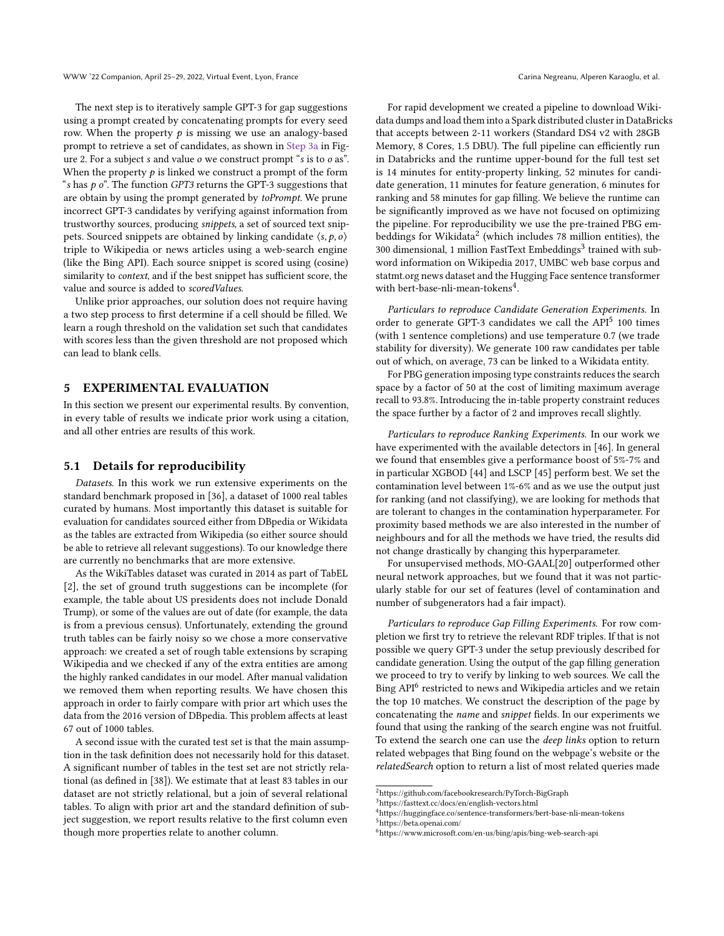The next step is to iteratively sample GPT-3 for gap suggestions using a prompt created by concatenating prompts for every seed row. When the property  $p$  is missing we use an analogy-based prompt to retrieve a set of candidates, as shown in Step 3a in Fig-ure [2.](#page-3-0) For a subject  $s$  and value  $o$  we construct prompt " $s$  is to  $o$  as". When the property  $p$  is linked we construct a prompt of the form "s has  $p \, o$ ". The function GPT3 returns the GPT-3 suggestions that are obtain by using the prompt generated by toPrompt. We prune incorrect GPT-3 candidates by verifying against information from trustworthy sources, producing snippets, a set of sourced text snippets. Sourced snippets are obtained by linking candidate  $\langle s, p, o \rangle$ triple to Wikipedia or news articles using a web-search engine (like the Bing API). Each source snippet is scored using (cosine)

value and source is added to scoredValues. Unlike prior approaches, our solution does not require having a two step process to first determine if a cell should be filled. We learn a rough threshold on the validation set such that candidates with scores less than the given threshold are not proposed which can lead to blank cells.

similarity to context, and if the best snippet has sufficient score, the

### 5 EXPERIMENTAL EVALUATION

In this section we present our experimental results. By convention, in every table of results we indicate prior work using a citation, and all other entries are results of this work.

### 5.1 Details for reproducibility

Datasets. In this work we run extensive experiments on the standard benchmark proposed in [\[36\]](#page-10-1), a dataset of 1000 real tables curated by humans. Most importantly this dataset is suitable for evaluation for candidates sourced either from DBpedia or Wikidata as the tables are extracted from Wikipedia (so either source should be able to retrieve all relevant suggestions). To our knowledge there are currently no benchmarks that are more extensive.

As the WikiTables dataset was curated in 2014 as part of TabEL [\[2\]](#page-9-2), the set of ground truth suggestions can be incomplete (for example, the table about US presidents does not include Donald Trump), or some of the values are out of date (for example, the data is from a previous census). Unfortunately, extending the ground truth tables can be fairly noisy so we chose a more conservative approach: we created a set of rough table extensions by scraping Wikipedia and we checked if any of the extra entities are among the highly ranked candidates in our model. After manual validation we removed them when reporting results. We have chosen this approach in order to fairly compare with prior art which uses the data from the 2016 version of DBpedia. This problem affects at least 67 out of 1000 tables.

A second issue with the curated test set is that the main assumption in the task definition does not necessarily hold for this dataset. A significant number of tables in the test set are not strictly relational (as defined in [\[38\]](#page-10-17)). We estimate that at least 83 tables in our dataset are not strictly relational, but a join of several relational tables. To align with prior art and the standard definition of subject suggestion, we report results relative to the first column even though more properties relate to another column.

For rapid development we created a pipeline to download Wikidata dumps and load them into a Spark distributed cluster in DataBricks that accepts between 2-11 workers (Standard DS4 v2 with 28GB Memory, 8 Cores, 1.5 DBU). The full pipeline can efficiently run in Databricks and the runtime upper-bound for the full test set is 14 minutes for entity-property linking, 52 minutes for candidate generation, 11 minutes for feature generation, 6 minutes for ranking and 58 minutes for gap filling. We believe the runtime can be significantly improved as we have not focused on optimizing the pipeline. For reproducibility we use the pre-trained PBG em-beddings for Wikidata<sup>[2](#page-5-0)</sup> (which includes 78 million entities), the [3](#page-5-1)00 dimensional, 1 million FastText Embeddings<sup>3</sup> trained with subword information on Wikipedia 2017, UMBC web base corpus and statmt.org news dataset and the Hugging Face sentence transformer with bert-base-nli-mean-tokens<sup>[4](#page-5-2)</sup>.

Particulars to reproduce Candidate Generation Experiments. In order to generate GPT-3 candidates we call the  $API<sup>5</sup>$  $API<sup>5</sup>$  $API<sup>5</sup>$  100 times (with 1 sentence completions) and use temperature 0.7 (we trade stability for diversity). We generate 100 raw candidates per table out of which, on average, 73 can be linked to a Wikidata entity.

For PBG generation imposing type constraints reduces the search space by a factor of 50 at the cost of limiting maximum average recall to 93.8%. Introducing the in-table property constraint reduces the space further by a factor of 2 and improves recall slightly.

Particulars to reproduce Ranking Experiments. In our work we have experimented with the available detectors in [\[46\]](#page-10-15). In general we found that ensembles give a performance boost of 5%-7% and in particular XGBOD [\[44\]](#page-10-16) and LSCP [\[45\]](#page-10-18) perform best. We set the contamination level between 1%-6% and as we use the output just for ranking (and not classifying), we are looking for methods that are tolerant to changes in the contamination hyperparameter. For proximity based methods we are also interested in the number of neighbours and for all the methods we have tried, the results did not change drastically by changing this hyperparameter.

For unsupervised methods, MO-GAAL[\[20\]](#page-9-28) outperformed other neural network approaches, but we found that it was not particularly stable for our set of features (level of contamination and number of subgenerators had a fair impact).

Particulars to reproduce Gap Filling Experiments. For row completion we first try to retrieve the relevant RDF triples. If that is not possible we query GPT-3 under the setup previously described for candidate generation. Using the output of the gap filling generation we proceed to try to verify by linking to web sources. We call the  $\overline{\text{Bing API}^6}$  $\overline{\text{Bing API}^6}$  $\overline{\text{Bing API}^6}$  restricted to news and Wikipedia articles and we retain the top 10 matches. We construct the description of the page by concatenating the name and snippet fields. In our experiments we found that using the ranking of the search engine was not fruitful. To extend the search one can use the deep links option to return related webpages that Bing found on the webpage's website or the relatedSearch option to return a list of most related queries made

<span id="page-5-0"></span><sup>2</sup>https://github.com/facebookresearch/PyTorch-BigGraph

<span id="page-5-1"></span><sup>3</sup>https://fasttext.cc/docs/en/english-vectors.html

<span id="page-5-3"></span><span id="page-5-2"></span><sup>4</sup>https://huggingface.co/sentence-transformers/bert-base-nli-mean-tokens <sup>5</sup>https://beta.openai.com

<span id="page-5-4"></span><sup>6</sup>https://www.microsoft.com/en-us/bing/apis/bing-web-search-api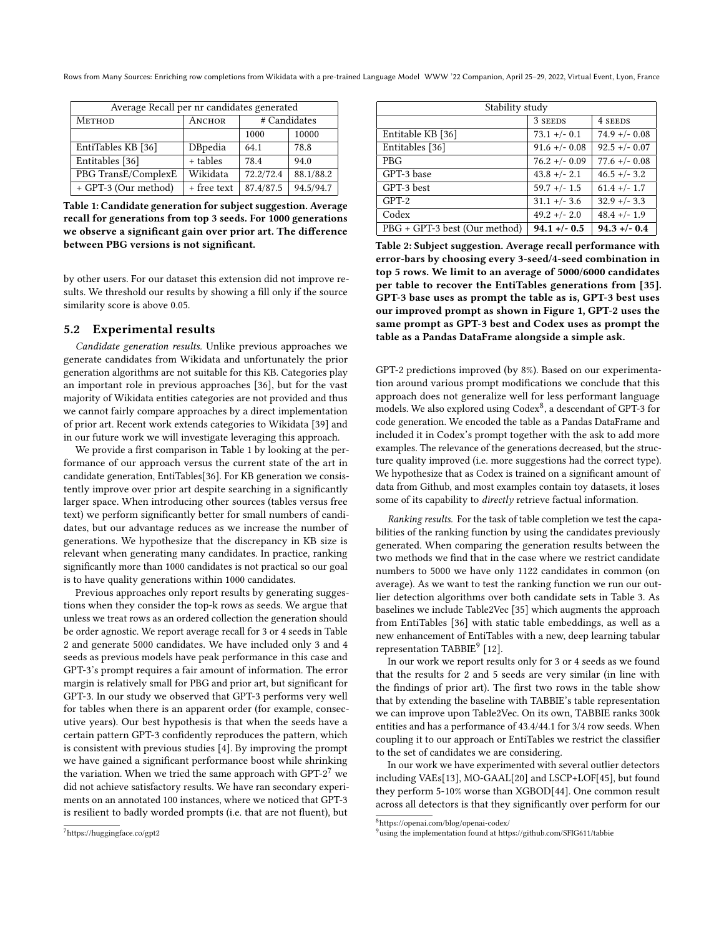Rows from Many Sources: Enriching row completions from Wikidata with a pre-trained Language Model WWW '22 Companion, April 25–29, 2022, Virtual Event, Lyon, France

<span id="page-6-0"></span>

| Average Recall per nr candidates generated |             |               |           |
|--------------------------------------------|-------------|---------------|-----------|
| METHOD                                     | ANCHOR      | # Candidates  |           |
|                                            |             | 10000<br>1000 |           |
| EntiTables KB [36]                         | DBpedia     | 64.1          | 78.8      |
| Entitables [36]                            | + tables    | 78.4          | 94.0      |
| PBG TransE/ComplexE                        | Wikidata    | 72.2/72.4     | 88.1/88.2 |
| + GPT-3 (Our method)                       | + free text | 87.4/87.5     | 94.5/94.7 |

Table 1: Candidate generation for subject suggestion. Average recall for generations from top 3 seeds. For 1000 generations we observe a significant gain over prior art. The difference between PBG versions is not significant.

by other users. For our dataset this extension did not improve results. We threshold our results by showing a fill only if the source similarity score is above 0.05.

### 5.2 Experimental results

Candidate generation results. Unlike previous approaches we generate candidates from Wikidata and unfortunately the prior generation algorithms are not suitable for this KB. Categories play an important role in previous approaches [\[36\]](#page-10-1), but for the vast majority of Wikidata entities categories are not provided and thus we cannot fairly compare approaches by a direct implementation of prior art. Recent work extends categories to Wikidata [\[39\]](#page-10-5) and in our future work we will investigate leveraging this approach.

We provide a first comparison in Table [1](#page-6-0) by looking at the performance of our approach versus the current state of the art in candidate generation, EntiTables[\[36\]](#page-10-1). For KB generation we consistently improve over prior art despite searching in a significantly larger space. When introducing other sources (tables versus free text) we perform significantly better for small numbers of candidates, but our advantage reduces as we increase the number of generations. We hypothesize that the discrepancy in KB size is relevant when generating many candidates. In practice, ranking significantly more than 1000 candidates is not practical so our goal is to have quality generations within 1000 candidates.

Previous approaches only report results by generating suggestions when they consider the top-k rows as seeds. We argue that unless we treat rows as an ordered collection the generation should be order agnostic. We report average recall for 3 or 4 seeds in Table [2](#page-6-1) and generate 5000 candidates. We have included only 3 and 4 seeds as previous models have peak performance in this case and GPT-3's prompt requires a fair amount of information. The error margin is relatively small for PBG and prior art, but significant for GPT-3. In our study we observed that GPT-3 performs very well for tables when there is an apparent order (for example, consecutive years). Our best hypothesis is that when the seeds have a certain pattern GPT-3 confidently reproduces the pattern, which is consistent with previous studies [\[4\]](#page-9-5). By improving the prompt we have gained a significant performance boost while shrinking the variation. When we tried the same approach with  $GPT-2<sup>7</sup>$  $GPT-2<sup>7</sup>$  $GPT-2<sup>7</sup>$  we did not achieve satisfactory results. We have ran secondary experiments on an annotated 100 instances, where we noticed that GPT-3 is resilient to badly worded prompts (i.e. that are not fluent), but

<span id="page-6-1"></span>

| Stability study               |                  |                  |  |
|-------------------------------|------------------|------------------|--|
|                               | 3 SEEDS          | 4 SEEDS          |  |
| Entitable KB [36]             | $73.1 +/- 0.1$   | $74.9 + - 0.08$  |  |
| Entitables [36]               | $91.6$ +/- 0.08  | $92.5 + (-0.07)$ |  |
| <b>PBG</b>                    | $76.2 + (-0.09)$ | $77.6$ +/- 0.08  |  |
| GPT-3 base                    | $43.8 + - 2.1$   | $46.5 + - 3.2$   |  |
| GPT-3 best                    | $59.7$ +/- 1.5   | $61.4$ +/- 1.7   |  |
| $GPT-2$                       | $31.1 +/- 3.6$   | $32.9 + - 3.3$   |  |
| Codex                         | $49.2 + - 2.0$   | $48.4 +/- 1.9$   |  |
| PBG + GPT-3 best (Our method) | $94.1 + - 0.5$   | $94.3 + - 0.4$   |  |

Table 2: Subject suggestion. Average recall performance with error-bars by choosing every 3-seed/4-seed combination in top 5 rows. We limit to an average of 5000/6000 candidates per table to recover the EntiTables generations from [\[35\]](#page-10-2). GPT-3 base uses as prompt the table as is, GPT-3 best uses our improved prompt as shown in Figure 1, GPT-2 uses the same prompt as GPT-3 best and Codex uses as prompt the table as a Pandas DataFrame alongside a simple ask.

GPT-2 predictions improved (by 8%). Based on our experimentation around various prompt modifications we conclude that this approach does not generalize well for less performant language  $\frac{1}{2}$  models. We also explored using Codex<sup>[8](#page-6-3)</sup>, a descendant of GPT-3 for code generation. We encoded the table as a Pandas DataFrame and included it in Codex's prompt together with the ask to add more examples. The relevance of the generations decreased, but the structure quality improved (i.e. more suggestions had the correct type). We hypothesize that as Codex is trained on a significant amount of data from Github, and most examples contain toy datasets, it loses some of its capability to directly retrieve factual information.

Ranking results. For the task of table completion we test the capabilities of the ranking function by using the candidates previously generated. When comparing the generation results between the two methods we find that in the case where we restrict candidate numbers to 5000 we have only 1122 candidates in common (on average). As we want to test the ranking function we run our outlier detection algorithms over both candidate sets in Table [3.](#page-7-0) As baselines we include Table2Vec [\[35\]](#page-10-2) which augments the approach from EntiTables [\[36\]](#page-10-1) with static table embeddings, as well as a new enhancement of EntiTables with a new, deep learning tabular representation TABBIE<sup>[9](#page-6-4)</sup> [\[12\]](#page-9-7).

In our work we report results only for 3 or 4 seeds as we found that the results for 2 and 5 seeds are very similar (in line with the findings of prior art). The first two rows in the table show that by extending the baseline with TABBIE's table representation we can improve upon Table2Vec. On its own, TABBIE ranks 300k entities and has a performance of 43.4/44.1 for 3/4 row seeds. When coupling it to our approach or EntiTables we restrict the classifier to the set of candidates we are considering.

In our work we have experimented with several outlier detectors including VAEs[\[13\]](#page-9-27), MO-GAAL[\[20\]](#page-9-28) and LSCP+LOF[\[45\]](#page-10-18), but found they perform 5-10% worse than XGBOD[\[44\]](#page-10-16). One common result across all detectors is that they significantly over perform for our

<span id="page-6-2"></span><sup>7</sup>https://huggingface.co/gpt2

<span id="page-6-3"></span> ${}^{8}$ https://openai.com/blog/openai-codex/

<span id="page-6-4"></span><sup>&</sup>lt;sup>9</sup>using the implementation found at https://github.com/SFIG611/tabbie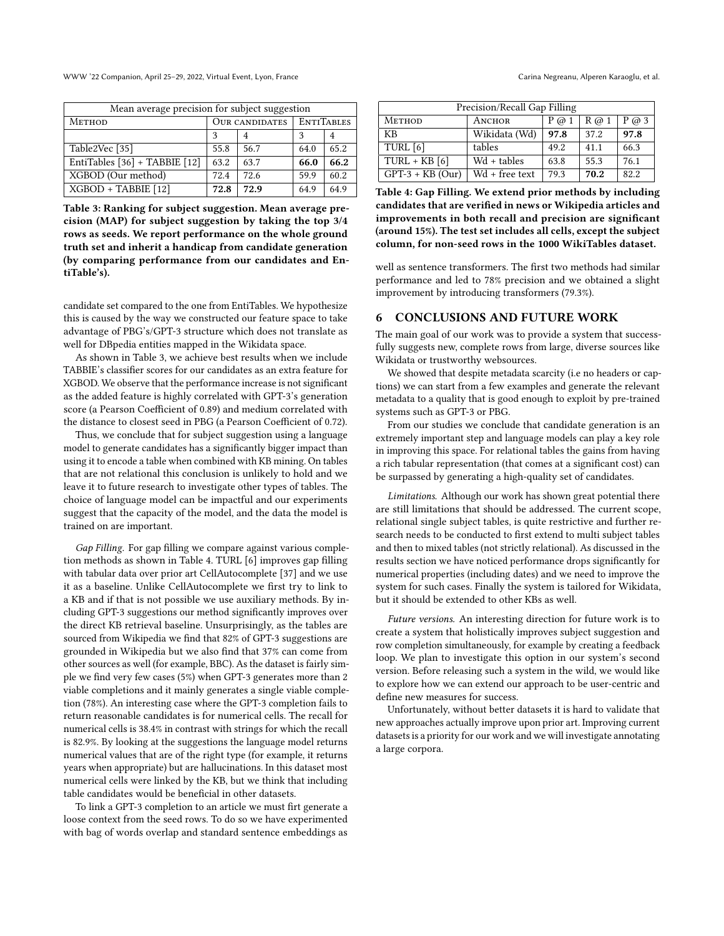WWW '22 Companion, April 25–29, 2022, Virtual Event, Lyon, France Carina Negreanu, Alperen Karaoglu, et al.

<span id="page-7-0"></span>

| Mean average precision for subject suggestion |                       |      |                   |      |
|-----------------------------------------------|-----------------------|------|-------------------|------|
| <b>METHOD</b>                                 | <b>OUR CANDIDATES</b> |      | <b>ENTITABLES</b> |      |
|                                               | 3                     | 4    | ٩                 | 4    |
| Table2Vec [35]                                | 55.8                  | 56.7 | 64.0              | 65.2 |
| EntiTables [36] + TABBIE [12]                 | 63.2                  | 63.7 | 66.0              | 66.2 |
| XGBOD (Our method)                            | 72.4                  | 72.6 | 59.9              | 60.2 |
| XGBOD + TABBIE [12]                           | 72.8                  | 72.9 | 64.9              | 64.9 |

Table 3: Ranking for subject suggestion. Mean average precision (MAP) for subject suggestion by taking the top 3/4 rows as seeds. We report performance on the whole ground truth set and inherit a handicap from candidate generation (by comparing performance from our candidates and EntiTable's).

candidate set compared to the one from EntiTables. We hypothesize this is caused by the way we constructed our feature space to take advantage of PBG's/GPT-3 structure which does not translate as well for DBpedia entities mapped in the Wikidata space.

As shown in Table [3,](#page-7-0) we achieve best results when we include TABBIE's classifier scores for our candidates as an extra feature for XGBOD. We observe that the performance increase is not significant as the added feature is highly correlated with GPT-3's generation score (a Pearson Coefficient of 0.89) and medium correlated with the distance to closest seed in PBG (a Pearson Coefficient of 0.72).

Thus, we conclude that for subject suggestion using a language model to generate candidates has a significantly bigger impact than using it to encode a table when combined with KB mining. On tables that are not relational this conclusion is unlikely to hold and we leave it to future research to investigate other types of tables. The choice of language model can be impactful and our experiments suggest that the capacity of the model, and the data the model is trained on are important.

Gap Filling. For gap filling we compare against various completion methods as shown in Table [4.](#page-7-1) TURL [\[6\]](#page-9-8) improves gap filling with tabular data over prior art CellAutocomplete [\[37\]](#page-10-12) and we use it as a baseline. Unlike CellAutocomplete we first try to link to a KB and if that is not possible we use auxiliary methods. By including GPT-3 suggestions our method significantly improves over the direct KB retrieval baseline. Unsurprisingly, as the tables are sourced from Wikipedia we find that 82% of GPT-3 suggestions are grounded in Wikipedia but we also find that 37% can come from other sources as well (for example, BBC). As the dataset is fairly simple we find very few cases (5%) when GPT-3 generates more than 2 viable completions and it mainly generates a single viable completion (78%). An interesting case where the GPT-3 completion fails to return reasonable candidates is for numerical cells. The recall for numerical cells is 38.4% in contrast with strings for which the recall is 82.9%. By looking at the suggestions the language model returns numerical values that are of the right type (for example, it returns years when appropriate) but are hallucinations. In this dataset most numerical cells were linked by the KB, but we think that including table candidates would be beneficial in other datasets.

To link a GPT-3 completion to an article we must firt generate a loose context from the seed rows. To do so we have experimented with bag of words overlap and standard sentence embeddings as

<span id="page-7-1"></span>

| Precision/Recall Gap Filling |                |         |         |         |
|------------------------------|----------------|---------|---------|---------|
| <b>METHOD</b>                | ANCHOR         | $P$ @ 1 | $R$ @ 1 | $P$ @ 3 |
| KB                           | Wikidata (Wd)  | 97.8    | 37.2    | 97.8    |
| TURL [6]                     | tables         | 49.2    | 41.1    | 66.3    |
| $TURL + KB [6]$              | $Wd + tables$  | 63.8    | 55.3    | 76.1    |
| $GPT-3 + KB (Our)$           | Wd + free text | 79.3    | 70.2    | 82.2    |

Table 4: Gap Filling. We extend prior methods by including candidates that are verified in news or Wikipedia articles and improvements in both recall and precision are significant (around 15%). The test set includes all cells, except the subject column, for non-seed rows in the 1000 WikiTables dataset.

well as sentence transformers. The first two methods had similar performance and led to 78% precision and we obtained a slight improvement by introducing transformers (79.3%).

### 6 CONCLUSIONS AND FUTURE WORK

The main goal of our work was to provide a system that successfully suggests new, complete rows from large, diverse sources like Wikidata or trustworthy websources.

We showed that despite metadata scarcity (i.e no headers or captions) we can start from a few examples and generate the relevant metadata to a quality that is good enough to exploit by pre-trained systems such as GPT-3 or PBG.

From our studies we conclude that candidate generation is an extremely important step and language models can play a key role in improving this space. For relational tables the gains from having a rich tabular representation (that comes at a significant cost) can be surpassed by generating a high-quality set of candidates.

Limitations. Although our work has shown great potential there are still limitations that should be addressed. The current scope, relational single subject tables, is quite restrictive and further research needs to be conducted to first extend to multi subject tables and then to mixed tables (not strictly relational). As discussed in the results section we have noticed performance drops significantly for numerical properties (including dates) and we need to improve the system for such cases. Finally the system is tailored for Wikidata, but it should be extended to other KBs as well.

Future versions. An interesting direction for future work is to create a system that holistically improves subject suggestion and row completion simultaneously, for example by creating a feedback loop. We plan to investigate this option in our system's second version. Before releasing such a system in the wild, we would like to explore how we can extend our approach to be user-centric and define new measures for success.

Unfortunately, without better datasets it is hard to validate that new approaches actually improve upon prior art. Improving current datasets is a priority for our work and we will investigate annotating a large corpora.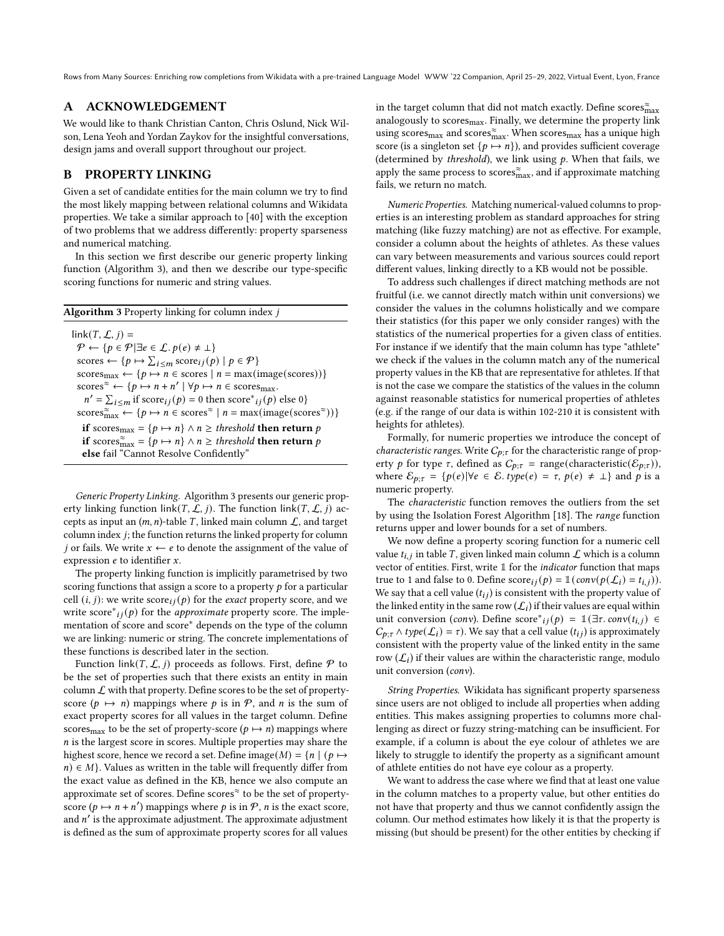### A ACKNOWLEDGEMENT

We would like to thank Christian Canton, Chris Oslund, Nick Wilson, Lena Yeoh and Yordan Zaykov for the insightful conversations, design jams and overall support throughout our project.

## B PROPERTY LINKING

Given a set of candidate entities for the main column we try to find the most likely mapping between relational columns and Wikidata properties. We take a similar approach to [\[40\]](#page-10-14) with the exception of two problems that we address differently: property sparseness and numerical matching.

In this section we first describe our generic property linking function (Algorithm [3\)](#page-8-0), and then we describe our type-specific scoring functions for numeric and string values.

<span id="page-8-0"></span>

| <b>Algorithm 3</b> Property linking for column index j                                                                                                |
|-------------------------------------------------------------------------------------------------------------------------------------------------------|
| $link(T, \mathcal{L}, i) =$                                                                                                                           |
| $\mathcal{P} \leftarrow \{p \in \mathcal{P}   \exists e \in \mathcal{L}, p(e) \neq \bot\}$                                                            |
| scores $\leftarrow \{p \mapsto \sum_{i \leq m} \text{score}_{ij}(p) \mid p \in \mathcal{P}\}\$                                                        |
| $\text{scores}_{\text{max}} \leftarrow \{p \mapsto n \in \text{scores} \mid n = \text{max}(\text{image}(\text{scores}))\}$                            |
| scores <sup><math>\approx \leftarrow \{p \mapsto n + n' \mid \forall p \mapsto n \in \text{scores}_{\text{max}}.\right.</math></sup>                  |
| $n' = \sum_{i \le m}$ if score <sub>ij</sub> $(p) = 0$ then score <sup>*</sup> <sub>ij</sub> $(p)$ else 0}                                            |
| scores $\widetilde{m}_{\text{max}} \leftarrow \{p \mapsto n \in \text{scores}^{\approx} \mid n = \text{max}(\text{image}(\text{scores}^{\approx}))\}$ |
| <b>if</b> scores <sub>max</sub> = { $p \mapsto n$ } $\wedge n \geq$ threshold <b>then return</b> p                                                    |
| if scores $\tilde{S}_{\text{max}} = \{p \mapsto n\} \wedge n \ge \text{threshold}$ then return p                                                      |
| else fail "Cannot Resolve Confidently"                                                                                                                |

Generic Property Linking. Algorithm [3](#page-8-0) presents our generic property linking function link(T,  $\mathcal{L}$ , j). The function link(T,  $\mathcal{L}$ , j) accepts as input an  $(m, n)$ -table *T*, linked main column  $\mathcal{L}$ , and target column index  $j$ ; the function returns the linked property for column j or fails. We write  $x \leftarrow e$  to denote the assignment of the value of expression  $e$  to identifier  $x$ .

The property linking function is implicitly parametrised by two scoring functions that assign a score to a property  $p$  for a particular cell  $(i, j)$ : we write score  $(i, j)$  for the *exact* property score, and we write  $score^*_{ij}(p)$  for the *approximate* property score. The implementation of score and score∗ depends on the type of the column we are linking: numeric or string. The concrete implementations of these functions is described later in the section.

Function link( $T, \mathcal{L}, j$ ) proceeds as follows. First, define  $\mathcal P$  to be the set of properties such that there exists an entity in main column  $\mathcal L$  with that property. Define scores to be the set of propertyscore ( $p \mapsto n$ ) mappings where p is in P, and n is the sum of exact property scores for all values in the target column. Define scores<sub>max</sub> to be the set of property-score ( $p \mapsto n$ ) mappings where  $n$  is the largest score in scores. Multiple properties may share the highest score, hence we record a set. Define image( $M$ ) = { $n | (p \mapsto$  $n \in M$ . Values as written in the table will frequently differ from the exact value as defined in the KB, hence we also compute an approximate set of scores. Define scores<sup>≈</sup> to be the set of propertyscore  $(p \mapsto n + n')$  mappings where p is in P, n is the exact score, and  $n'$  is the approximate adjustment. The approximate adjustment is defined as the sum of approximate property scores for all values

in the target column that did not match exactly. Define scores $\hat{\check{\mathbf{m}}}_{\text{max}}$ analogously to scores<sub>max</sub>. Finally, we determine the property link using scores<sub>max</sub> and scores $\tilde{m}_{max}$ . When scores<sub>max</sub> has a unique high score (is a singleton set  $\{p \mapsto n\}$ ), and provides sufficient coverage (determined by threshold), we link using  $p$ . When that fails, we apply the same process to scores $\tilde{R}_{\text{max}}$ , and if approximate matching fails, we return no match.

Numeric Properties. Matching numerical-valued columns to properties is an interesting problem as standard approaches for string matching (like fuzzy matching) are not as effective. For example, consider a column about the heights of athletes. As these values can vary between measurements and various sources could report different values, linking directly to a KB would not be possible.

To address such challenges if direct matching methods are not fruitful (i.e. we cannot directly match within unit conversions) we consider the values in the columns holistically and we compare their statistics (for this paper we only consider ranges) with the statistics of the numerical properties for a given class of entities. For instance if we identify that the main column has type "athlete" we check if the values in the column match any of the numerical property values in the KB that are representative for athletes. If that is not the case we compare the statistics of the values in the column against reasonable statistics for numerical properties of athletes (e.g. if the range of our data is within 102-210 it is consistent with heights for athletes).

Formally, for numeric properties we introduce the concept of *characteristic ranges.* Write  $C_{p;\tau}$  for the characteristic range of property p for type  $\tau$ , defined as  $C_{p;\tau}$  = range(characteristic( $\mathcal{E}_{p;\tau}$ )), where  $\mathcal{E}_{p;\tau} = \{p(e)|\forall e \in \mathcal{E}.\text{type}(e) = \tau, p(e) \neq \bot\}$  and p is a numeric property.

The characteristic function removes the outliers from the set by using the Isolation Forest Algorithm [\[18\]](#page-9-29). The range function returns upper and lower bounds for a set of numbers.

We now define a property scoring function for a numeric cell value  $t_{i,j}$  in table T, given linked main column  $\mathcal L$  which is a column vector of entities. First, write  $1$  for the *indicator* function that maps true to 1 and false to 0. Define  $score_{ij}(p) = \mathbb{I}(conv(p(\mathcal{L}_i) = t_{i,j}))$ . We say that a cell value  $(t_{ij})$  is consistent with the property value of the linked entity in the same row  $(\mathcal{L}_i)$  if their values are equal within unit conversion (conv). Define score<sup>\*</sup><sub>ij</sub>(p) = 1(∃r.conv(t<sub>i,j</sub>) ∈  $C_{p;\tau} \wedge type(\mathcal{L}_i) = \tau$ ). We say that a cell value  $(t_{ij})$  is approximately consistent with the property value of the linked entity in the same row  $(\mathcal{L}_i)$  if their values are within the characteristic range, modulo unit conversion (conv).

String Properties. Wikidata has significant property sparseness since users are not obliged to include all properties when adding entities. This makes assigning properties to columns more challenging as direct or fuzzy string-matching can be insufficient. For example, if a column is about the eye colour of athletes we are likely to struggle to identify the property as a significant amount of athlete entities do not have eye colour as a property.

We want to address the case where we find that at least one value in the column matches to a property value, but other entities do not have that property and thus we cannot confidently assign the column. Our method estimates how likely it is that the property is missing (but should be present) for the other entities by checking if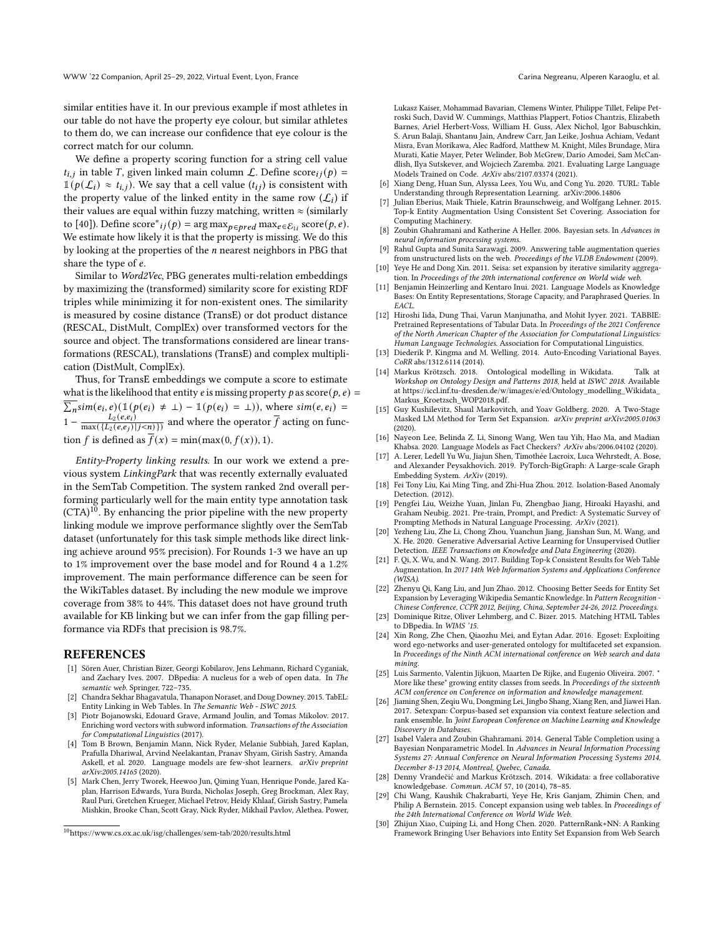similar entities have it. In our previous example if most athletes in our table do not have the property eye colour, but similar athletes to them do, we can increase our confidence that eye colour is the correct match for our column.

We define a property scoring function for a string cell value  $t_{i,j}$  in table *T*, given linked main column *L*. Define score  $i_j(p) =$  $\mathbb{1}(p(\mathcal{L}_i) \approx t_{i,j})$ . We say that a cell value  $(t_{ij})$  is consistent with the property value of the linked entity in the same row  $(\mathcal{L}_i)$  if their values are equal within fuzzy matching, written  $\approx$  (similarly to [\[40\]](#page-10-14)). Define  $score^*_{ij}(p) = arg max_{p \in pred} max_{e \in \mathcal{E}_{1i}} score(p, e)$ . We estimate how likely it is that the property is missing. We do this by looking at the properties of the  $n$  nearest neighbors in PBG that share the type of  $e$ .

Similar to Word2Vec, PBG generates multi-relation embeddings by maximizing the (transformed) similarity score for existing RDF triples while minimizing it for non-existent ones. The similarity is measured by cosine distance (TransE) or dot product distance (RESCAL, DistMult, ComplEx) over transformed vectors for the source and object. The transformations considered are linear transformations (RESCAL), translations (TransE) and complex multiplication (DistMult, ComplEx).

Thus, for TransE embeddings we compute a score to estimate what is the likelihood that entity e is missing property p as score( $p, e$ ) =  $\overline{\sum_n}$ sim $(e_i, e)$ ( $\mathbbm{1}(p(e_i) \neq \bot) - \mathbbm{1}(p(e_i) = \bot)$ ), where sim $(e, e_i)$  $\frac{L_2(e,e_i)}{1 - \frac{L_2(e,e_i)}{\max(\{L_2(e,e_i) | j\leq n)\}\}}$  and where the operator  $\overline{f}$  acting on function f is defined as  $\overline{f}(x) = \min(\max(0, f(x)), 1)$ .

Entity-Property linking results. In our work we extend a previous system LinkingPark that was recently externally evaluated in the SemTab Competition. The system ranked 2nd overall performing particularly well for the main entity type annotation task (CTA)[10](#page-9-30). By enhancing the prior pipeline with the new property linking module we improve performance slightly over the SemTab dataset (unfortunately for this task simple methods like direct linking achieve around 95% precision). For Rounds 1-3 we have an up to 1% improvement over the base model and for Round 4 a 1.2% improvement. The main performance difference can be seen for the WikiTables dataset. By including the new module we improve coverage from 38% to 44%. This dataset does not have ground truth available for KB linking but we can infer from the gap filling performance via RDFs that precision is 98.7%.

### REFERENCES

- <span id="page-9-0"></span>[1] Sören Auer, Christian Bizer, Georgi Kobilarov, Jens Lehmann, Richard Cyganiak, and Zachary Ives. 2007. DBpedia: A nucleus for a web of open data. In The semantic web. Springer, 722–735.
- <span id="page-9-2"></span>[2] Chandra Sekhar Bhagavatula, Thanapon Noraset, and Doug Downey. 2015. TabEL: Entity Linking in Web Tables. In The Semantic Web - ISWC 2015.
- <span id="page-9-26"></span>[3] Piotr Bojanowski, Edouard Grave, Armand Joulin, and Tomas Mikolov. 2017. Enriching word vectors with subword information. Transactions of the Association for Computational Linguistics (2017).
- <span id="page-9-5"></span>[4] Tom B Brown, Benjamin Mann, Nick Ryder, Melanie Subbiah, Jared Kaplan, Prafulla Dhariwal, Arvind Neelakantan, Pranav Shyam, Girish Sastry, Amanda Askell, et al. 2020. Language models are few-shot learners. arXiv preprint arXiv:2005.14165 (2020).
- <span id="page-9-6"></span>[5] Mark Chen, Jerry Tworek, Heewoo Jun, Qiming Yuan, Henrique Ponde, Jared Kaplan, Harrison Edwards, Yura Burda, Nicholas Joseph, Greg Brockman, Alex Ray, Raul Puri, Gretchen Krueger, Michael Petrov, Heidy Khlaaf, Girish Sastry, Pamela Mishkin, Brooke Chan, Scott Gray, Nick Ryder, Mikhail Pavlov, Alethea. Power,

Lukasz Kaiser, Mohammad Bavarian, Clemens Winter, Philippe Tillet, Felipe Petroski Such, David W. Cummings, Matthias Plappert, Fotios Chantzis, Elizabeth Barnes, Ariel Herbert-Voss, William H. Guss, Alex Nichol, Igor Babuschkin, S. Arun Balaji, Shantanu Jain, Andrew Carr, Jan Leike, Joshua Achiam, Vedant Misra, Evan Morikawa, Alec Radford, Matthew M. Knight, Miles Brundage, Mira Murati, Katie Mayer, Peter Welinder, Bob McGrew, Dario Amodei, Sam McCandlish, Ilya Sutskever, and Wojciech Zaremba. 2021. Evaluating Large Language Models Trained on Code. ArXiv abs/2107.03374 (2021).

- <span id="page-9-8"></span>[6] Xiang Deng, Huan Sun, Alyssa Lees, You Wu, and Cong Yu. 2020. TURL: Table Understanding through Representation Learning. arXiv[:2006.14806](https://arxiv.org/abs/2006.14806)
- <span id="page-9-22"></span>Julian Eberius, Maik Thiele, Katrin Braunschweig, and Wolfgang Lehner. 2015. Top-k Entity Augmentation Using Consistent Set Covering. Association for Computing Machinery.
- <span id="page-9-20"></span>Zoubin Ghahramani and Katherine A Heller. 2006. Bayesian sets. In Advances in neural information processing systems.
- <span id="page-9-15"></span>[9] Rahul Gupta and Sunita Sarawagi. 2009. Answering table augmentation queries from unstructured lists on the web. Proceedings of the VLDB Endowment (2009).
- <span id="page-9-16"></span>[10] Yeye He and Dong Xin. 2011. Seisa: set expansion by iterative similarity aggregation. In Proceedings of the 20th international conference on World wide wel
- <span id="page-9-23"></span>[11] Benjamin Heinzerling and Kentaro Inui. 2021. Language Models as Knowledge Bases: On Entity Representations, Storage Capacity, and Paraphrased Queries. In EACL.
- <span id="page-9-7"></span>[12] Hiroshi Iida, Dung Thai, Varun Manjunatha, and Mohit Iyyer. 2021. TABBIE: Pretrained Representations of Tabular Data. In Proceedings of the 2021 Conference of the North American Chapter of the Association for Computational Linguistics: Human Language Technologies. Association for Computational Linguistics.
- <span id="page-9-27"></span>[13] Diederik P. Kingma and M. Welling. 2014. Auto-Encoding Variational Bayes. CoRR abs/1312.6114 (2014).
- <span id="page-9-3"></span>Markus Krötzsch. 2018. Ontological modelling in Wikidata. Talk at Workshop on Ontology Design and Patterns 2018, held at ISWC 2018. Available at [https://iccl.inf.tu-dresden.de/w/images/e/ed/Ontology\\_modelling\\_Wikidata\\_](https://iccl.inf.tu-dresden.de/w/images/e/ed/Ontology_modelling_Wikidata_Markus_Kroetzsch_WOP2018.pdf) Markus Kroetzsch WOP2018.pdf.
- <span id="page-9-18"></span>[15] Guy Kushilevitz, Shaul Markovitch, and Yoav Goldberg. 2020. A Two-Stage Masked LM Method for Term Set Expansion. arXiv preprint arXiv:2005.01063 (2020).
- <span id="page-9-24"></span>[16] Nayeon Lee, Belinda Z. Li, Sinong Wang, Wen tau Yih, Hao Ma, and Madian Khabsa. 2020. Language Models as Fact Checkers? ArXiv abs/2006.04102 (2020).
- <span id="page-9-4"></span>[17] A. Lerer, Ledell Yu Wu, Jiajun Shen, Timothée Lacroix, Luca Wehrstedt, A. Bose, and Alexander Peysakhovich. 2019. PyTorch-BigGraph: A Large-scale Graph Embedding System. ArXiv (2019).
- <span id="page-9-29"></span>[18] Fei Tony Liu, Kai Ming Ting, and Zhi-Hua Zhou. 2012. Isolation-Based Anomaly Detection. (2012).
- <span id="page-9-25"></span>[19] Pengfei Liu, Weizhe Yuan, Jinlan Fu, Zhengbao Jiang, Hiroaki Hayashi, and Graham Neubig. 2021. Pre-train, Prompt, and Predict: A Systematic Survey of Prompting Methods in Natural Language Processing. ArXiv (2021).
- <span id="page-9-28"></span>[20] Yezheng Liu, Zhe Li, Chong Zhou, Yuanchun Jiang, Jianshan Sun, M. Wang, and X. He. 2020. Generative Adversarial Active Learning for Unsupervised Outlier Detection. IEEE Transactions on Knowledge and Data Engineering (2020).
- <span id="page-9-21"></span>[21] F. Qi, X. Wu, and N. Wang. 2017. Building Top-k Consistent Results for Web Table Augmentation. In 2017 14th Web Information Systems and Applications Conference  $(WISA)$
- <span id="page-9-13"></span>[22] Zhenyu Qi, Kang Liu, and Jun Zhao. 2012. Choosing Better Seeds for Entity Set Expansion by Leveraging Wikipedia Semantic Knowledge. In Pattern Recognition - Chinese Conference, CCPR 2012, Beijing, China, September 24-26, 2012. Proceedings.
- <span id="page-9-9"></span>[23] Dominique Ritze, Oliver Lehmberg, and C. Bizer. 2015. Matching HTML Tables to DBpedia. In WIMS '15.
- <span id="page-9-10"></span>[24] Xin Rong, Zhe Chen, Qiaozhu Mei, and Eytan Adar. 2016. Egoset: Exploiting word ego-networks and user-generated ontology for multifaceted set expansion. In Proceedings of the Ninth ACM international conference on Web search and data mining.
- <span id="page-9-11"></span>[25] Luis Sarmento, Valentin Jijkuon, Maarten De Rijke, and Eugenio Oliveira. 2007. More like these" growing entity classes from seeds. In Proceedings of the sixteenth ACM conference on Conference on information and knowledge management.
- <span id="page-9-12"></span>[26] Jiaming Shen, Zeqiu Wu, Dongming Lei, Jingbo Shang, Xiang Ren, and Jiawei Han. 2017. Setexpan: Corpus-based set expansion via context feature selection and rank ensemble. In Joint European Conference on Machine Learning and Knowledge Discovery in Databases.
- <span id="page-9-19"></span>[27] Isabel Valera and Zoubin Ghahramani. 2014. General Table Completion using a Bayesian Nonparametric Model. In Advances in Neural Information Processing Systems 27: Annual Conference on Neural Information Processing Systems 2014, December 8-13 2014, Montreal, Quebec, Canada.
- <span id="page-9-1"></span>[28] Denny Vrandečić and Markus Krötzsch. 2014. Wikidata: a free collaborative knowledgebase. Commun. ACM 57, 10 (2014), 78–85.
- <span id="page-9-14"></span>[29] Chi Wang, Kaushik Chakrabarti, Yeye He, Kris Ganjam, Zhimin Chen, and Philip A Bernstein. 2015. Concept expansion using web tables. In Proceedings of the 24th International Conference on World Wide Web.
- <span id="page-9-17"></span>[30] Zhijun Xiao, Cuiping Li, and Hong Chen. 2020. PatternRank+NN: A Ranking Framework Bringing User Behaviors into Entity Set Expansion from Web Search

<span id="page-9-30"></span><sup>10</sup>https://www.cs.ox.ac.uk/isg/challenges/sem-tab/2020/results.html